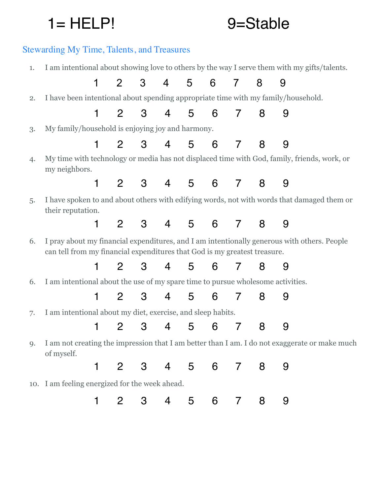# 1 = HELP! 9=Stable

# Stewarding My Time, Talents, and Treasures

1. I am intentional about showing love to others by the way I serve them with my gifts/talents.

|    | 1                                                                                                                                                                        | $\overline{2}$              | 3              | $\overline{4}$ | 5 <sub>5</sub> | 6           | $\overline{7}$ | 8 | 9 |  |  |
|----|--------------------------------------------------------------------------------------------------------------------------------------------------------------------------|-----------------------------|----------------|----------------|----------------|-------------|----------------|---|---|--|--|
| 2. | I have been intentional about spending appropriate time with my family/household.                                                                                        |                             |                |                |                |             |                |   |   |  |  |
|    |                                                                                                                                                                          | $1 \quad$<br>$\mathbf{2}$   | 3              | 4              |                | 5 6         | $\overline{7}$ | 8 | 9 |  |  |
| 3. | My family/household is enjoying joy and harmony.                                                                                                                         |                             |                |                |                |             |                |   |   |  |  |
|    |                                                                                                                                                                          | $\mathbf{2}$<br>$1 \quad$   | 3              | $\overline{4}$ | 5 <sub>5</sub> | 6           | $\overline{7}$ | 8 | 9 |  |  |
| 4. | My time with technology or media has not displaced time with God, family, friends, work, or<br>my neighbors.                                                             |                             |                |                |                |             |                |   |   |  |  |
|    |                                                                                                                                                                          | $1 \quad 2 \quad 3 \quad 4$ |                |                |                | $5\qquad 6$ | $\overline{7}$ | 8 | 9 |  |  |
| 5. | I have spoken to and about others with edifying words, not with words that damaged them or<br>their reputation.                                                          |                             |                |                |                |             |                |   |   |  |  |
|    | 1                                                                                                                                                                        |                             | $2 \quad 3$    |                |                | 4 5 6 7 8   |                |   | 9 |  |  |
| 6. | I pray about my financial expenditures, and I am intentionally generous with others. People<br>can tell from my financial expenditures that God is my greatest treasure. |                             |                |                |                |             |                |   |   |  |  |
|    | 1                                                                                                                                                                        |                             | 2 3 4 5 6 7 8  |                |                |             |                |   | 9 |  |  |
| 6. | I am intentional about the use of my spare time to pursue wholesome activities.                                                                                          |                             |                |                |                |             |                |   |   |  |  |
|    | 1                                                                                                                                                                        |                             | 2 3 4 5 6 7    |                |                |             |                | 8 | 9 |  |  |
| 7. | I am intentional about my diet, exercise, and sleep habits.                                                                                                              |                             |                |                |                |             |                |   |   |  |  |
|    | 1                                                                                                                                                                        |                             | 2 3 4 5 6 7    |                |                |             |                | 8 | 9 |  |  |
| 9. | I am not creating the impression that I am better than I am. I do not exaggerate or make much<br>of myself.                                                              |                             |                |                |                |             |                |   |   |  |  |
|    | 1                                                                                                                                                                        | $\overline{2}$              | 3              | $\overline{4}$ |                | 5 6         | $\overline{7}$ | 8 | 9 |  |  |
|    | 10. I am feeling energized for the week ahead.                                                                                                                           |                             |                |                |                |             |                |   |   |  |  |
|    | 1                                                                                                                                                                        | $\mathbf{2}$                | 3 <sup>7</sup> |                | 4 5 6          |             | 7              | 8 | 9 |  |  |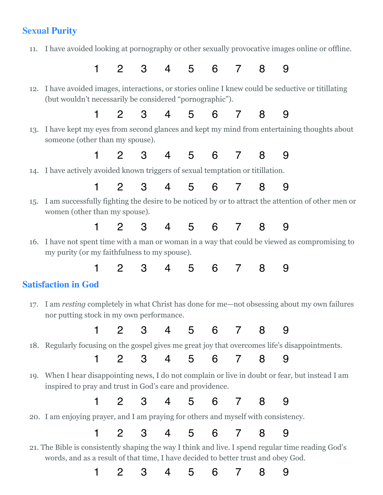## **Sexual Purity**

11. I have avoided looking at pornography or other sexually provocative images online or offline.

1 2 3 4 5 6 7 8 9

 12. I have avoided images, interactions, or stories online I knew could be seductive or titillating (but wouldn't necessarily be considered "pornographic").

1 2 3 4 5 6 7 8 9

 13. I have kept my eyes from second glances and kept my mind from entertaining thoughts about someone (other than my spouse).

1 2 3 4 5 6 7 8 9

#### 14. I have actively avoided known triggers of sexual temptation or titillation.

1 2 3 4 5 6 7 8 9

- 15. I am successfully fighting the desire to be noticed by or to attract the attention of other men or women (other than my spouse).
	- 1 2 3 4 5 6 7 8 9
- 16. I have not spent time with a man or woman in a way that could be viewed as compromising to my purity (or my faithfulness to my spouse).

1 2 3 4 5 6 7 8 9

# **Satisfaction in God**

 17. I am *resting* completely in what Christ has done for me—not obsessing about my own failures nor putting stock in my own performance.

1 2 3 4 5 6 7 8 9

18. Regularly focusing on the gospel gives me great joy that overcomes life's disappointments.

1 2 3 4 5 6 7 8 9

 19. When I hear disappointing news, I do not complain or live in doubt or fear, but instead I am inspired to pray and trust in God's care and providence.

1 2 3 4 5 6 7 8 9

20. I am enjoying prayer, and I am praying for others and myself with consistency.

1 2 3 4 5 6 7 8 9

21. The Bible is consistently shaping the way I think and live. I spend regular time reading God's words, and as a result of that time, I have decided to better trust and obey God.

1 2 3 4 5 6 7 8 9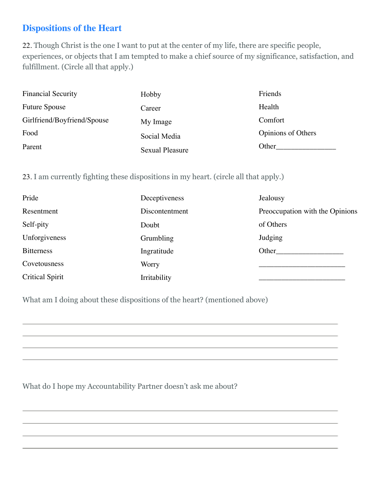### **Dispositions of the Heart**

22. Though Christ is the one I want to put at the center of my life, there are specific people, experiences, or objects that I am tempted to make a chief source of my significance, satisfaction, and fulfillment. (Circle all that apply.)

| <b>Financial Security</b>   | Hobby           | Friends            |
|-----------------------------|-----------------|--------------------|
| <b>Future Spouse</b>        | Career          | Health             |
| Girlfriend/Boyfriend/Spouse | My Image        | Comfort            |
| Food                        | Social Media    | Opinions of Others |
| Parent                      | Sexual Pleasure | Other              |

#### 23. I am currently fighting these dispositions in my heart. (circle all that apply.)

| Pride                  | Deceptiveness  | Jealousy                        |
|------------------------|----------------|---------------------------------|
| Resentment             | Discontentment | Preoccupation with the Opinions |
| Self-pity              | Doubt          | of Others                       |
| Unforgiveness          | Grumbling      | Judging                         |
| <b>Bitterness</b>      | Ingratitude    | Other                           |
| Covetousness           | Worry          |                                 |
| <b>Critical Spirit</b> | Irritability   |                                 |

What am I doing about these dispositions of the heart? (mentioned above)

What do I hope my Accountability Partner doesn't ask me about?